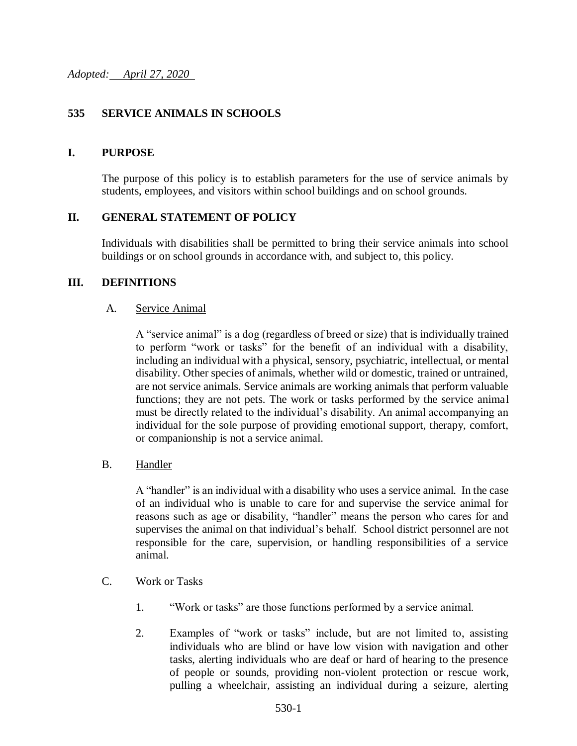## **535 SERVICE ANIMALS IN SCHOOLS**

### **I. PURPOSE**

The purpose of this policy is to establish parameters for the use of service animals by students, employees, and visitors within school buildings and on school grounds.

### **II. GENERAL STATEMENT OF POLICY**

Individuals with disabilities shall be permitted to bring their service animals into school buildings or on school grounds in accordance with, and subject to, this policy.

### **III. DEFINITIONS**

#### A. Service Animal

A "service animal" is a dog (regardless of breed or size) that is individually trained to perform "work or tasks" for the benefit of an individual with a disability, including an individual with a physical, sensory, psychiatric, intellectual, or mental disability. Other species of animals, whether wild or domestic, trained or untrained, are not service animals. Service animals are working animals that perform valuable functions; they are not pets. The work or tasks performed by the service animal must be directly related to the individual's disability. An animal accompanying an individual for the sole purpose of providing emotional support, therapy, comfort, or companionship is not a service animal.

### B. Handler

A "handler" is an individual with a disability who uses a service animal. In the case of an individual who is unable to care for and supervise the service animal for reasons such as age or disability, "handler" means the person who cares for and supervises the animal on that individual's behalf. School district personnel are not responsible for the care, supervision, or handling responsibilities of a service animal.

- C. Work or Tasks
	- 1. "Work or tasks" are those functions performed by a service animal.
	- 2. Examples of "work or tasks" include, but are not limited to, assisting individuals who are blind or have low vision with navigation and other tasks, alerting individuals who are deaf or hard of hearing to the presence of people or sounds, providing non-violent protection or rescue work, pulling a wheelchair, assisting an individual during a seizure, alerting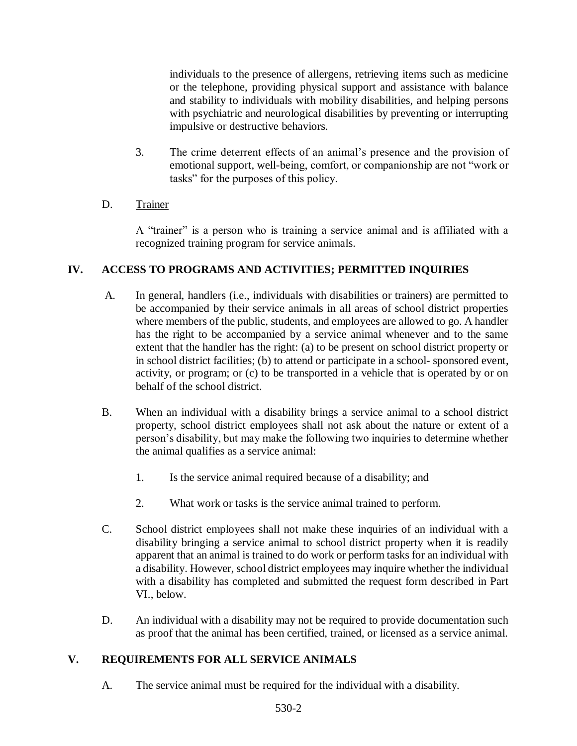individuals to the presence of allergens, retrieving items such as medicine or the telephone, providing physical support and assistance with balance and stability to individuals with mobility disabilities, and helping persons with psychiatric and neurological disabilities by preventing or interrupting impulsive or destructive behaviors.

3. The crime deterrent effects of an animal's presence and the provision of emotional support, well-being, comfort, or companionship are not "work or tasks" for the purposes of this policy.

## D. Trainer

A "trainer" is a person who is training a service animal and is affiliated with a recognized training program for service animals.

## **IV. ACCESS TO PROGRAMS AND ACTIVITIES; PERMITTED INQUIRIES**

- A. In general, handlers (i.e., individuals with disabilities or trainers) are permitted to be accompanied by their service animals in all areas of school district properties where members of the public, students, and employees are allowed to go. A handler has the right to be accompanied by a service animal whenever and to the same extent that the handler has the right: (a) to be present on school district property or in school district facilities; (b) to attend or participate in a school- sponsored event, activity, or program; or (c) to be transported in a vehicle that is operated by or on behalf of the school district.
- B. When an individual with a disability brings a service animal to a school district property, school district employees shall not ask about the nature or extent of a person's disability, but may make the following two inquiries to determine whether the animal qualifies as a service animal:
	- 1. Is the service animal required because of a disability; and
	- 2. What work or tasks is the service animal trained to perform.
- C. School district employees shall not make these inquiries of an individual with a disability bringing a service animal to school district property when it is readily apparent that an animal is trained to do work or perform tasks for an individual with a disability. However, school district employees may inquire whether the individual with a disability has completed and submitted the request form described in Part VI., below.
- D. An individual with a disability may not be required to provide documentation such as proof that the animal has been certified, trained, or licensed as a service animal.

# **V. REQUIREMENTS FOR ALL SERVICE ANIMALS**

A. The service animal must be required for the individual with a disability.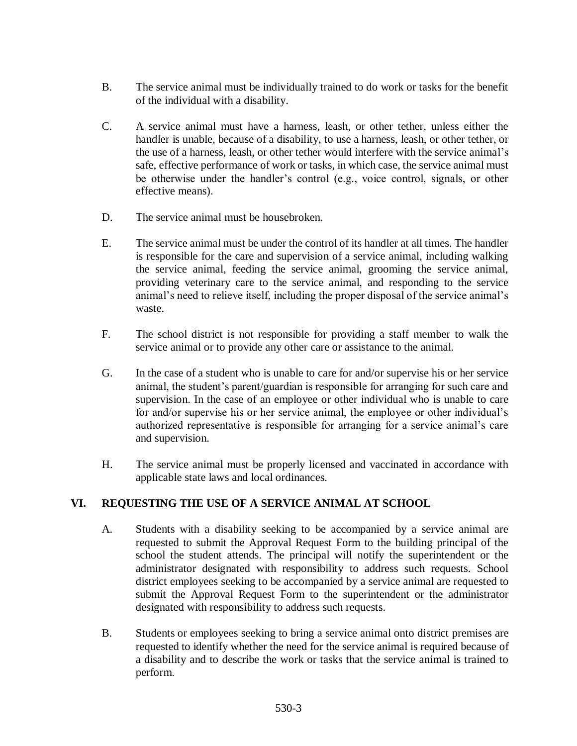- B. The service animal must be individually trained to do work or tasks for the benefit of the individual with a disability.
- C. A service animal must have a harness, leash, or other tether, unless either the handler is unable, because of a disability, to use a harness, leash, or other tether, or the use of a harness, leash, or other tether would interfere with the service animal's safe, effective performance of work or tasks, in which case, the service animal must be otherwise under the handler's control (e.g., voice control, signals, or other effective means).
- D. The service animal must be housebroken.
- E. The service animal must be under the control of its handler at all times. The handler is responsible for the care and supervision of a service animal, including walking the service animal, feeding the service animal, grooming the service animal, providing veterinary care to the service animal, and responding to the service animal's need to relieve itself, including the proper disposal of the service animal's waste.
- F. The school district is not responsible for providing a staff member to walk the service animal or to provide any other care or assistance to the animal.
- G. In the case of a student who is unable to care for and/or supervise his or her service animal, the student's parent/guardian is responsible for arranging for such care and supervision. In the case of an employee or other individual who is unable to care for and/or supervise his or her service animal, the employee or other individual's authorized representative is responsible for arranging for a service animal's care and supervision.
- H. The service animal must be properly licensed and vaccinated in accordance with applicable state laws and local ordinances.

## **VI. REQUESTING THE USE OF A SERVICE ANIMAL AT SCHOOL**

- A. Students with a disability seeking to be accompanied by a service animal are requested to submit the Approval Request Form to the building principal of the school the student attends. The principal will notify the superintendent or the administrator designated with responsibility to address such requests. School district employees seeking to be accompanied by a service animal are requested to submit the Approval Request Form to the superintendent or the administrator designated with responsibility to address such requests.
- B. Students or employees seeking to bring a service animal onto district premises are requested to identify whether the need for the service animal is required because of a disability and to describe the work or tasks that the service animal is trained to perform.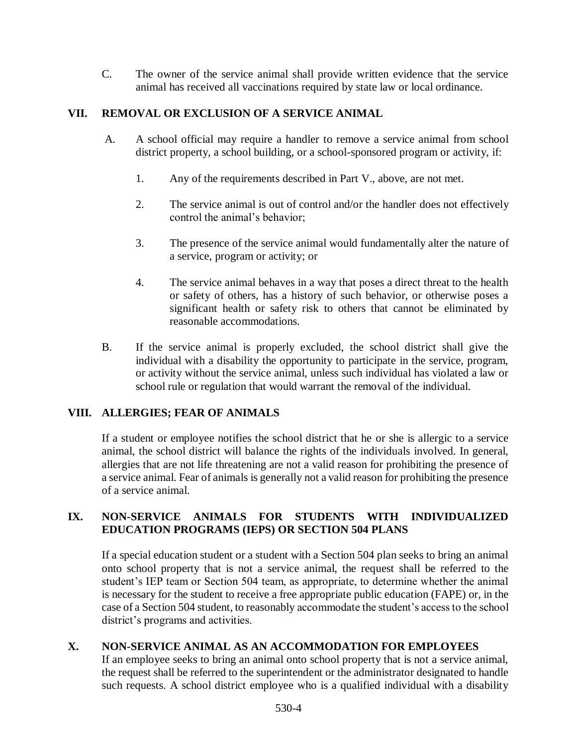C. The owner of the service animal shall provide written evidence that the service animal has received all vaccinations required by state law or local ordinance.

## **VII. REMOVAL OR EXCLUSION OF A SERVICE ANIMAL**

- A. A school official may require a handler to remove a service animal from school district property, a school building, or a school-sponsored program or activity, if:
	- 1. Any of the requirements described in Part V., above, are not met.
	- 2. The service animal is out of control and/or the handler does not effectively control the animal's behavior;
	- 3. The presence of the service animal would fundamentally alter the nature of a service, program or activity; or
	- 4. The service animal behaves in a way that poses a direct threat to the health or safety of others, has a history of such behavior, or otherwise poses a significant health or safety risk to others that cannot be eliminated by reasonable accommodations.
- B. If the service animal is properly excluded, the school district shall give the individual with a disability the opportunity to participate in the service, program, or activity without the service animal, unless such individual has violated a law or school rule or regulation that would warrant the removal of the individual.

## **VIII. ALLERGIES; FEAR OF ANIMALS**

If a student or employee notifies the school district that he or she is allergic to a service animal, the school district will balance the rights of the individuals involved. In general, allergies that are not life threatening are not a valid reason for prohibiting the presence of a service animal. Fear of animals is generally not a valid reason for prohibiting the presence of a service animal.

### **IX. NON-SERVICE ANIMALS FOR STUDENTS WITH INDIVIDUALIZED EDUCATION PROGRAMS (IEPS) OR SECTION 504 PLANS**

If a special education student or a student with a Section 504 plan seeks to bring an animal onto school property that is not a service animal, the request shall be referred to the student's IEP team or Section 504 team, as appropriate, to determine whether the animal is necessary for the student to receive a free appropriate public education (FAPE) or, in the case of a Section 504 student, to reasonably accommodate the student's access to the school district's programs and activities.

## **X. NON-SERVICE ANIMAL AS AN ACCOMMODATION FOR EMPLOYEES**

If an employee seeks to bring an animal onto school property that is not a service animal, the request shall be referred to the superintendent or the administrator designated to handle such requests. A school district employee who is a qualified individual with a disability